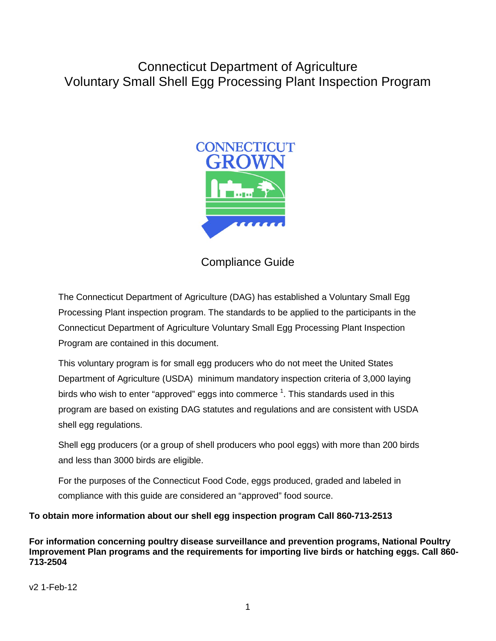# Connecticut Department of Agriculture Voluntary Small Shell Egg Processing Plant Inspection Program



Compliance Guide

The Connecticut Department of Agriculture (DAG) has established a Voluntary Small Egg Processing Plant inspection program. The standards to be applied to the participants in the Connecticut Department of Agriculture Voluntary Small Egg Processing Plant Inspection Program are contained in this document.

This voluntary program is for small egg producers who do not meet the United States Department of Agriculture (USDA) minimum mandatory inspection criteria of 3,000 laying birds who wish to enter "approved" eggs into commerce  $^1$ . This standards used in this program are based on existing DAG statutes and regulations and are consistent with USDA shell egg regulations.

Shell egg producers (or a group of shell producers who pool eggs) with more than 200 birds and less than 3000 birds are eligible.

For the purposes of the Connecticut Food Code, eggs produced, graded and labeled in compliance with this guide are considered an "approved" food source.

**To obtain more information about our shell egg inspection program Call 860-713-2513** 

**For information concerning poultry disease surveillance and prevention programs, National Poultry Improvement Plan programs and the requirements for importing live birds or hatching eggs. Call 860- 713-2504**

v2 1-Feb-12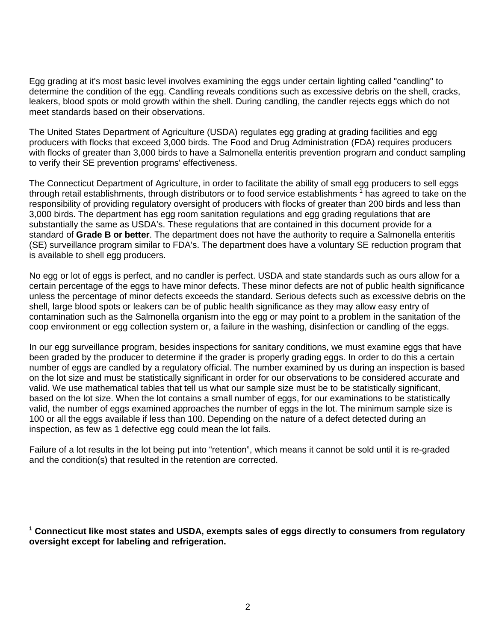Egg grading at it's most basic level involves examining the eggs under certain lighting called "candling" to determine the condition of the egg. Candling reveals conditions such as excessive debris on the shell, cracks, leakers, blood spots or mold growth within the shell. During candling, the candler rejects eggs which do not meet standards based on their observations.

The United States Department of Agriculture (USDA) regulates egg grading at grading facilities and egg producers with flocks that exceed 3,000 birds. The Food and Drug Administration (FDA) requires producers with flocks of greater than 3,000 birds to have a Salmonella enteritis prevention program and conduct sampling to verify their SE prevention programs' effectiveness.

The Connecticut Department of Agriculture, in order to facilitate the ability of small egg producers to sell eggs through retail establishments, through distributors or to food service establishments<sup>1</sup> has agreed to take on the responsibility of providing regulatory oversight of producers with flocks of greater than 200 birds and less than 3,000 birds. The department has egg room sanitation regulations and egg grading regulations that are substantially the same as USDA's. These regulations that are contained in this document provide for a standard of **Grade B or better**. The department does not have the authority to require a Salmonella enteritis (SE) surveillance program similar to FDA's. The department does have a voluntary SE reduction program that is available to shell egg producers.

No egg or lot of eggs is perfect, and no candler is perfect. USDA and state standards such as ours allow for a certain percentage of the eggs to have minor defects. These minor defects are not of public health significance unless the percentage of minor defects exceeds the standard. Serious defects such as excessive debris on the shell, large blood spots or leakers can be of public health significance as they may allow easy entry of contamination such as the Salmonella organism into the egg or may point to a problem in the sanitation of the coop environment or egg collection system or, a failure in the washing, disinfection or candling of the eggs.

In our egg surveillance program, besides inspections for sanitary conditions, we must examine eggs that have been graded by the producer to determine if the grader is properly grading eggs. In order to do this a certain number of eggs are candled by a regulatory official. The number examined by us during an inspection is based on the lot size and must be statistically significant in order for our observations to be considered accurate and valid. We use mathematical tables that tell us what our sample size must be to be statistically significant, based on the lot size. When the lot contains a small number of eggs, for our examinations to be statistically valid, the number of eggs examined approaches the number of eggs in the lot. The minimum sample size is 100 or all the eggs available if less than 100. Depending on the nature of a defect detected during an inspection, as few as 1 defective egg could mean the lot fails.

Failure of a lot results in the lot being put into "retention", which means it cannot be sold until it is re-graded and the condition(s) that resulted in the retention are corrected.

<span id="page-1-0"></span>**<sup>1</sup> Connecticut like most states and USDA, exempts sales of eggs directly to consumers from regulatory oversight except for labeling and refrigeration.**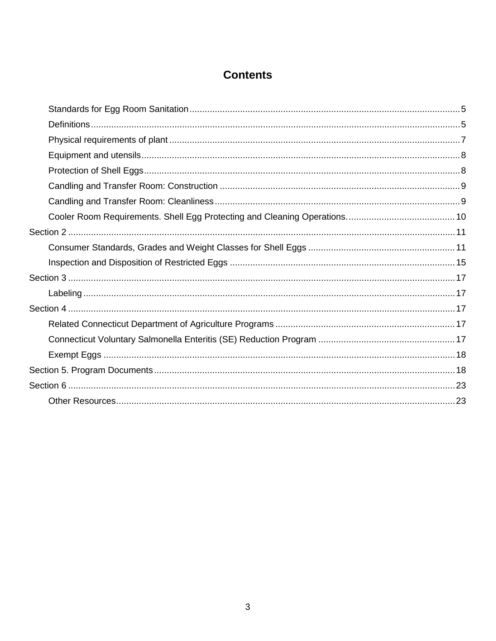## **Contents**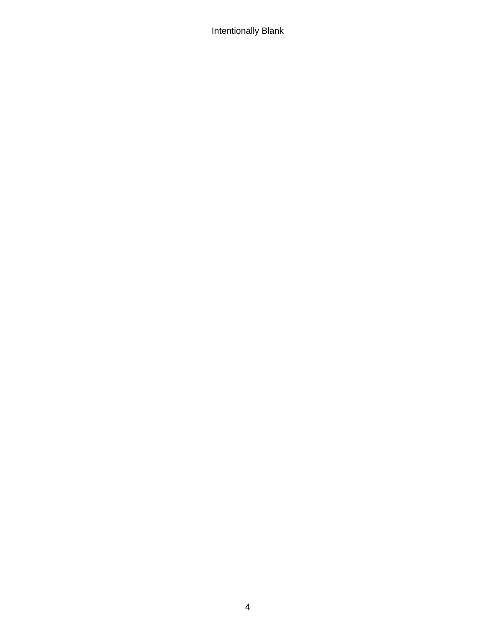Intentionally Blank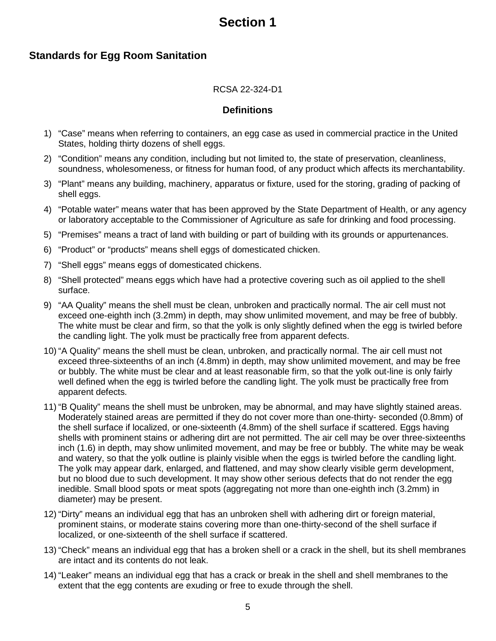# **Section 1**

## <span id="page-4-0"></span>**Standards for Egg Room Sanitation**

### RCSA 22-324-D1

## **Definitions**

- <span id="page-4-1"></span>1) "Case" means when referring to containers, an egg case as used in commercial practice in the United States, holding thirty dozens of shell eggs.
- 2) "Condition" means any condition, including but not limited to, the state of preservation, cleanliness, soundness, wholesomeness, or fitness for human food, of any product which affects its merchantability.
- 3) "Plant" means any building, machinery, apparatus or fixture, used for the storing, grading of packing of shell eggs.
- 4) "Potable water" means water that has been approved by the State Department of Health, or any agency or laboratory acceptable to the Commissioner of Agriculture as safe for drinking and food processing.
- 5) "Premises" means a tract of land with building or part of building with its grounds or appurtenances.
- 6) "Product" or "products" means shell eggs of domesticated chicken.
- 7) "Shell eggs" means eggs of domesticated chickens.
- 8) "Shell protected" means eggs which have had a protective covering such as oil applied to the shell surface.
- 9) "AA Quality" means the shell must be clean, unbroken and practically normal. The air cell must not exceed one-eighth inch (3.2mm) in depth, may show unlimited movement, and may be free of bubbly. The white must be clear and firm, so that the yolk is only slightly defined when the egg is twirled before the candling light. The yolk must be practically free from apparent defects.
- 10) "A Quality" means the shell must be clean, unbroken, and practically normal. The air cell must not exceed three-sixteenths of an inch (4.8mm) in depth, may show unlimited movement, and may be free or bubbly. The white must be clear and at least reasonable firm, so that the yolk out-line is only fairly well defined when the egg is twirled before the candling light. The yolk must be practically free from apparent defects.
- 11) "B Quality" means the shell must be unbroken, may be abnormal, and may have slightly stained areas. Moderately stained areas are permitted if they do not cover more than one-thirty- seconded (0.8mm) of the shell surface if localized, or one-sixteenth (4.8mm) of the shell surface if scattered. Eggs having shells with prominent stains or adhering dirt are not permitted. The air cell may be over three-sixteenths inch (1.6) in depth, may show unlimited movement, and may be free or bubbly. The white may be weak and watery, so that the yolk outline is plainly visible when the eggs is twirled before the candling light. The yolk may appear dark, enlarged, and flattened, and may show clearly visible germ development, but no blood due to such development. It may show other serious defects that do not render the egg inedible. Small blood spots or meat spots (aggregating not more than one-eighth inch (3.2mm) in diameter) may be present.
- 12) "Dirty" means an individual egg that has an unbroken shell with adhering dirt or foreign material, prominent stains, or moderate stains covering more than one-thirty-second of the shell surface if localized, or one-sixteenth of the shell surface if scattered.
- 13) "Check" means an individual egg that has a broken shell or a crack in the shell, but its shell membranes are intact and its contents do not leak.
- 14) "Leaker" means an individual egg that has a crack or break in the shell and shell membranes to the extent that the egg contents are exuding or free to exude through the shell.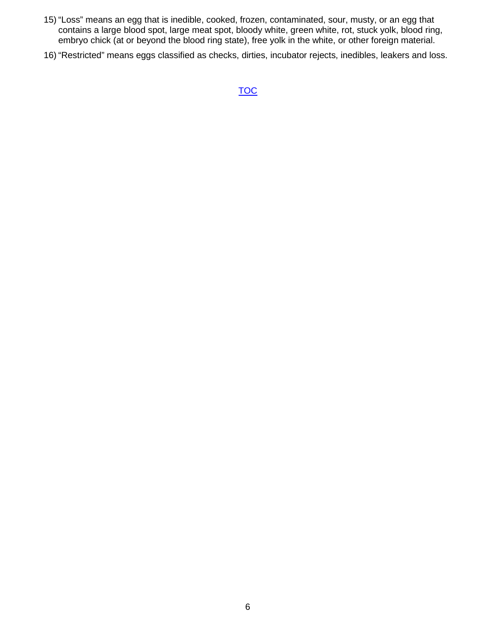- 15) "Loss" means an egg that is inedible, cooked, frozen, contaminated, sour, musty, or an egg that contains a large blood spot, large meat spot, bloody white, green white, rot, stuck yolk, blood ring, embryo chick (at or beyond the blood ring state), free yolk in the white, or other foreign material.
- 16) "Restricted" means eggs classified as checks, dirties, incubator rejects, inedibles, leakers and loss.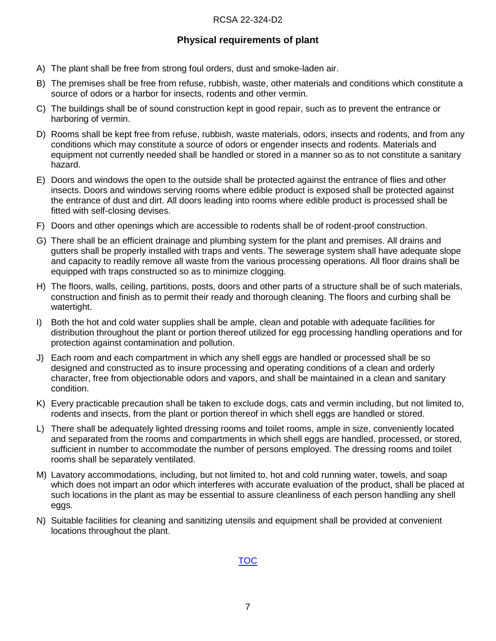#### **Physical requirements of plant**

- <span id="page-6-0"></span>A) The plant shall be free from strong foul orders, dust and smoke-laden air.
- B) The premises shall be free from refuse, rubbish, waste, other materials and conditions which constitute a source of odors or a harbor for insects, rodents and other vermin.
- C) The buildings shall be of sound construction kept in good repair, such as to prevent the entrance or harboring of vermin.
- D) Rooms shall be kept free from refuse, rubbish, waste materials, odors, insects and rodents, and from any conditions which may constitute a source of odors or engender insects and rodents. Materials and equipment not currently needed shall be handled or stored in a manner so as to not constitute a sanitary hazard.
- E) Doors and windows the open to the outside shall be protected against the entrance of flies and other insects. Doors and windows serving rooms where edible product is exposed shall be protected against the entrance of dust and dirt. All doors leading into rooms where edible product is processed shall be fitted with self-closing devises.
- F) Doors and other openings which are accessible to rodents shall be of rodent-proof construction.
- G) There shall be an efficient drainage and plumbing system for the plant and premises. All drains and gutters shall be properly installed with traps and vents. The sewerage system shall have adequate slope and capacity to readily remove all waste from the various processing operations. All floor drains shall be equipped with traps constructed so as to minimize clogging.
- H) The floors, walls, ceiling, partitions, posts, doors and other parts of a structure shall be of such materials, construction and finish as to permit their ready and thorough cleaning. The floors and curbing shall be watertight.
- I) Both the hot and cold water supplies shall be ample, clean and potable with adequate facilities for distribution throughout the plant or portion thereof utilized for egg processing handling operations and for protection against contamination and pollution.
- J) Each room and each compartment in which any shell eggs are handled or processed shall be so designed and constructed as to insure processing and operating conditions of a clean and orderly character, free from objectionable odors and vapors, and shall be maintained in a clean and sanitary condition.
- K) Every practicable precaution shall be taken to exclude dogs, cats and vermin including, but not limited to, rodents and insects, from the plant or portion thereof in which shell eggs are handled or stored.
- L) There shall be adequately lighted dressing rooms and toilet rooms, ample in size, conveniently located and separated from the rooms and compartments in which shell eggs are handled, processed, or stored, sufficient in number to accommodate the number of persons employed. The dressing rooms and toilet rooms shall be separately ventilated.
- M) Lavatory accommodations, including, but not limited to, hot and cold running water, towels, and soap which does not impart an odor which interferes with accurate evaluation of the product, shall be placed at such locations in the plant as may be essential to assure cleanliness of each person handling any shell eggs.
- N) Suitable facilities for cleaning and sanitizing utensils and equipment shall be provided at convenient locations throughout the plant.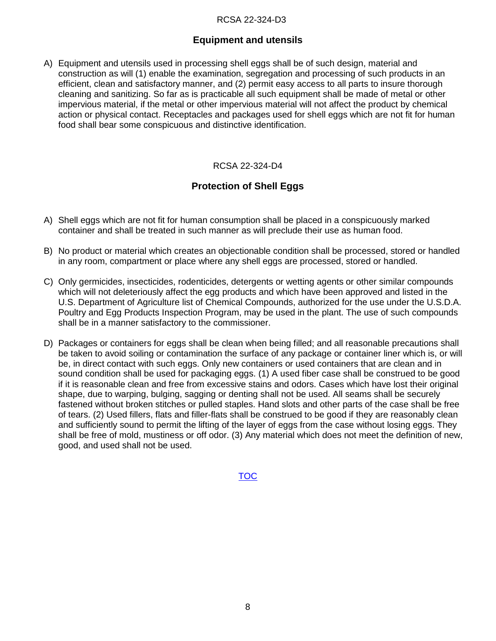### **Equipment and utensils**

<span id="page-7-0"></span>A) Equipment and utensils used in processing shell eggs shall be of such design, material and construction as will (1) enable the examination, segregation and processing of such products in an efficient, clean and satisfactory manner, and (2) permit easy access to all parts to insure thorough cleaning and sanitizing. So far as is practicable all such equipment shall be made of metal or other impervious material, if the metal or other impervious material will not affect the product by chemical action or physical contact. Receptacles and packages used for shell eggs which are not fit for human food shall bear some conspicuous and distinctive identification.

#### RCSA 22-324-D4

#### **Protection of Shell Eggs**

- <span id="page-7-1"></span>A) Shell eggs which are not fit for human consumption shall be placed in a conspicuously marked container and shall be treated in such manner as will preclude their use as human food.
- B) No product or material which creates an objectionable condition shall be processed, stored or handled in any room, compartment or place where any shell eggs are processed, stored or handled.
- C) Only germicides, insecticides, rodenticides, detergents or wetting agents or other similar compounds which will not deleteriously affect the egg products and which have been approved and listed in the U.S. Department of Agriculture list of Chemical Compounds, authorized for the use under the U.S.D.A. Poultry and Egg Products Inspection Program, may be used in the plant. The use of such compounds shall be in a manner satisfactory to the commissioner.
- D) Packages or containers for eggs shall be clean when being filled; and all reasonable precautions shall be taken to avoid soiling or contamination the surface of any package or container liner which is, or will be, in direct contact with such eggs. Only new containers or used containers that are clean and in sound condition shall be used for packaging eggs. (1) A used fiber case shall be construed to be good if it is reasonable clean and free from excessive stains and odors. Cases which have lost their original shape, due to warping, bulging, sagging or denting shall not be used. All seams shall be securely fastened without broken stitches or pulled staples. Hand slots and other parts of the case shall be free of tears. (2) Used fillers, flats and filler-flats shall be construed to be good if they are reasonably clean and sufficiently sound to permit the lifting of the layer of eggs from the case without losing eggs. They shall be free of mold, mustiness or off odor. (3) Any material which does not meet the definition of new, good, and used shall not be used.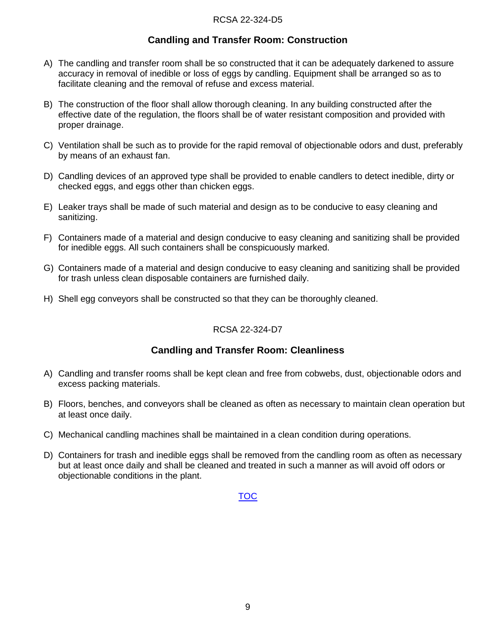#### **Candling and Transfer Room: Construction**

- <span id="page-8-0"></span>A) The candling and transfer room shall be so constructed that it can be adequately darkened to assure accuracy in removal of inedible or loss of eggs by candling. Equipment shall be arranged so as to facilitate cleaning and the removal of refuse and excess material.
- B) The construction of the floor shall allow thorough cleaning. In any building constructed after the effective date of the regulation, the floors shall be of water resistant composition and provided with proper drainage.
- C) Ventilation shall be such as to provide for the rapid removal of objectionable odors and dust, preferably by means of an exhaust fan.
- D) Candling devices of an approved type shall be provided to enable candlers to detect inedible, dirty or checked eggs, and eggs other than chicken eggs.
- E) Leaker trays shall be made of such material and design as to be conducive to easy cleaning and sanitizing.
- F) Containers made of a material and design conducive to easy cleaning and sanitizing shall be provided for inedible eggs. All such containers shall be conspicuously marked.
- G) Containers made of a material and design conducive to easy cleaning and sanitizing shall be provided for trash unless clean disposable containers are furnished daily.
- H) Shell egg conveyors shall be constructed so that they can be thoroughly cleaned.

#### RCSA 22-324-D7

#### **Candling and Transfer Room: Cleanliness**

- <span id="page-8-1"></span>A) Candling and transfer rooms shall be kept clean and free from cobwebs, dust, objectionable odors and excess packing materials.
- B) Floors, benches, and conveyors shall be cleaned as often as necessary to maintain clean operation but at least once daily.
- C) Mechanical candling machines shall be maintained in a clean condition during operations.
- D) Containers for trash and inedible eggs shall be removed from the candling room as often as necessary but at least once daily and shall be cleaned and treated in such a manner as will avoid off odors or objectionable conditions in the plant.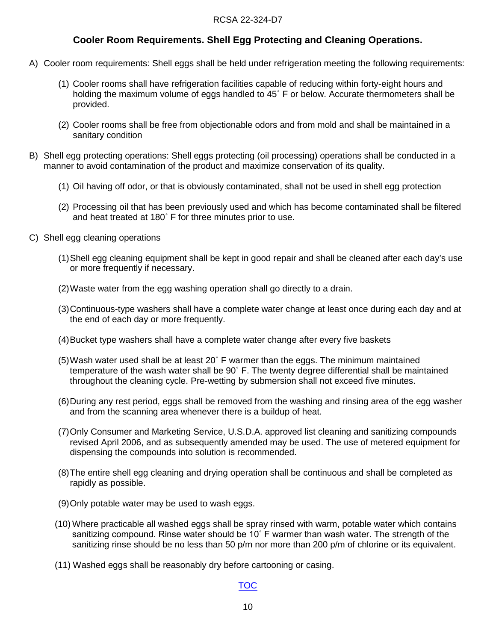#### **Cooler Room Requirements. Shell Egg Protecting and Cleaning Operations.**

- <span id="page-9-0"></span>A) Cooler room requirements: Shell eggs shall be held under refrigeration meeting the following requirements:
	- (1) Cooler rooms shall have refrigeration facilities capable of reducing within forty-eight hours and holding the maximum volume of eggs handled to 45˚ F or below. Accurate thermometers shall be provided.
	- (2) Cooler rooms shall be free from objectionable odors and from mold and shall be maintained in a sanitary condition
- B) Shell egg protecting operations: Shell eggs protecting (oil processing) operations shall be conducted in a manner to avoid contamination of the product and maximize conservation of its quality.
	- (1) Oil having off odor, or that is obviously contaminated, shall not be used in shell egg protection
	- (2) Processing oil that has been previously used and which has become contaminated shall be filtered and heat treated at 180˚ F for three minutes prior to use.
- C) Shell egg cleaning operations
	- (1)Shell egg cleaning equipment shall be kept in good repair and shall be cleaned after each day's use or more frequently if necessary.
	- (2)Waste water from the egg washing operation shall go directly to a drain.
	- (3)Continuous-type washers shall have a complete water change at least once during each day and at the end of each day or more frequently.
	- (4)Bucket type washers shall have a complete water change after every five baskets
	- (5)Wash water used shall be at least 20˚ F warmer than the eggs. The minimum maintained temperature of the wash water shall be 90˚ F. The twenty degree differential shall be maintained throughout the cleaning cycle. Pre-wetting by submersion shall not exceed five minutes.
	- (6)During any rest period, eggs shall be removed from the washing and rinsing area of the egg washer and from the scanning area whenever there is a buildup of heat.
	- (7)Only Consumer and Marketing Service, U.S.D.A. approved list cleaning and sanitizing compounds revised April 2006, and as subsequently amended may be used. The use of metered equipment for dispensing the compounds into solution is recommended.
	- (8)The entire shell egg cleaning and drying operation shall be continuous and shall be completed as rapidly as possible.
	- (9)Only potable water may be used to wash eggs.
	- (10) Where practicable all washed eggs shall be spray rinsed with warm, potable water which contains sanitizing compound. Rinse water should be 10˚ F warmer than wash water. The strength of the sanitizing rinse should be no less than 50 p/m nor more than 200 p/m of chlorine or its equivalent.
	- (11) Washed eggs shall be reasonably dry before cartooning or casing.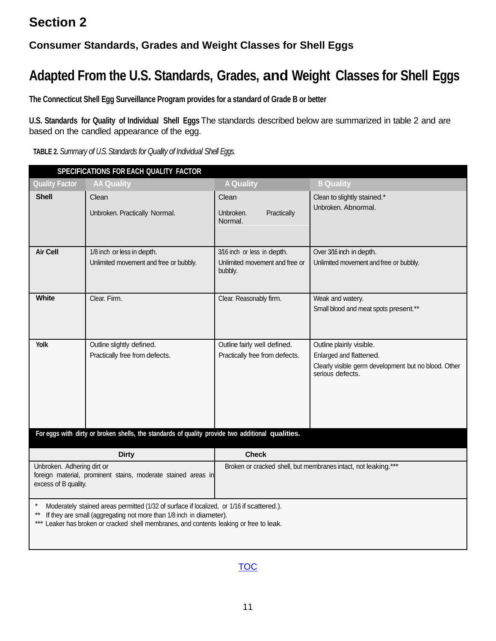# <span id="page-10-0"></span>**Section 2**

## <span id="page-10-1"></span>**Consumer Standards, Grades and Weight Classes for Shell Eggs**

# **Adapted From the U.S. Standards, Grades, and Weight Classes for Shell Eggs**

**The Connecticut Shell Egg Surveillance Program provides for a standard of Grade B or better**

**U.S. Standards for Quality of Individual Shell Eggs** The standards described below are summarized in table 2 and are based on the candled appearance of the egg.

#### **TABLE 2.** *Summary of U.S.Standards for Quality of Individual Shell Eggs.*

|                                                    | SPECIFICATIONS FOR EACH QUALITY FACTOR                                                                                                                                                                                                                  |                                                                          |                                                                                                                                 |
|----------------------------------------------------|---------------------------------------------------------------------------------------------------------------------------------------------------------------------------------------------------------------------------------------------------------|--------------------------------------------------------------------------|---------------------------------------------------------------------------------------------------------------------------------|
| <b>Quality Factor</b>                              | <b>AA Quality</b>                                                                                                                                                                                                                                       | <b>A Quality</b>                                                         | <b>B Quality</b>                                                                                                                |
| <b>Shell</b>                                       | Clean<br>Unbroken. Practically Normal.                                                                                                                                                                                                                  | Clean<br>Unbroken.<br>Practically                                        | Clean to slightly stained.*<br>Unbroken. Abnormal.                                                                              |
|                                                    |                                                                                                                                                                                                                                                         | Normal.                                                                  |                                                                                                                                 |
| <b>Air Cell</b>                                    | 1/8 inch or less in depth.<br>Unlimited movement and free or bubbly.                                                                                                                                                                                    | 3/16 inch or less in depth.<br>Unlimited movement and free or<br>bubbly. | Over 3/16 inch in depth.<br>Unlimited movement and free or bubbly.                                                              |
| <b>White</b>                                       | Clear. Firm.                                                                                                                                                                                                                                            | Clear. Reasonably firm.                                                  | Weak and watery.<br>Small blood and meat spots present.**                                                                       |
| Yolk                                               | Outline slightly defined.<br>Practically free from defects.                                                                                                                                                                                             | Outline fairly well defined.<br>Practically free from defects.           | Outline plainly visible.<br>Enlarged and flattened.<br>Clearly visible germ development but no blood. Other<br>serious defects. |
|                                                    | For eggs with dirty or broken shells, the standards of quality provide two additional qualities.                                                                                                                                                        |                                                                          |                                                                                                                                 |
|                                                    | <b>Dirty</b>                                                                                                                                                                                                                                            | <b>Check</b>                                                             |                                                                                                                                 |
| Unbroken. Adhering dirt or<br>excess of B quality. | foreign material, prominent stains, moderate stained areas in                                                                                                                                                                                           |                                                                          | Broken or cracked shell, but membranes intact, not leaking.***                                                                  |
|                                                    | Moderately stained areas permitted (1/32 of surface if localized, or 1/16 if scattered.).<br>If they are small (aggregating not more than 1/8 inch in diameter).<br>Leaker has broken or cracked shell membranes, and contents leaking or free to leak. |                                                                          |                                                                                                                                 |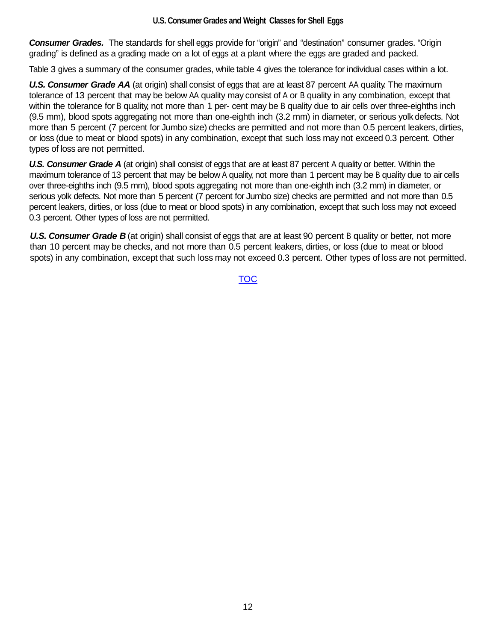#### **U.S. Consumer Grades and Weight Classes for Shell Eggs**

*Consumer Grades.* The standards for shell eggs provide for "origin" and "destination" consumer grades. "Origin grading" is defined as a grading made on a lot of eggs at a plant where the eggs are graded and packed.

Table 3 gives a summary of the consumer grades, while table 4 gives the tolerance for individual cases within a lot.

*U.S. Consumer Grade AA* (at origin) shall consist of eggs that are at least 87 percent AA quality. The maximum tolerance of 13 percent that may be below AA quality may consist of A or B quality in any combination, except that within the tolerance for B quality, not more than 1 per- cent may be B quality due to air cells over three-eighths inch (9.5 mm), blood spots aggregating not more than one-eighth inch (3.2 mm) in diameter, or serious yolk defects. Not more than 5 percent (7 percent for Jumbo size) checks are permitted and not more than 0.5 percent leakers, dirties, or loss (due to meat or blood spots) in any combination, except that such loss may not exceed 0.3 percent. Other types of loss are not permitted.

*U.S. Consumer Grade A* (at origin) shall consist of eggs that are at least 87 percent A quality or better. Within the maximum tolerance of 13 percent that may be below A quality, not more than 1 percent may be B quality due to air cells over three-eighths inch (9.5 mm), blood spots aggregating not more than one-eighth inch (3.2 mm) in diameter, or serious yolk defects. Not more than 5 percent (7 percent for Jumbo size) checks are permitted and not more than 0.5 percent leakers, dirties, or loss (due to meat or blood spots) in any combination, except that such loss may not exceed 0.3 percent. Other types of loss are not permitted.

*U.S. Consumer Grade B* (at origin) shall consist of eggs that are at least 90 percent B quality or better, not more than 10 percent may be checks, and not more than 0.5 percent leakers, dirties, or loss (due to meat or blood spots) in any combination, except that such loss may not exceed 0.3 percent. Other types of loss are not permitted.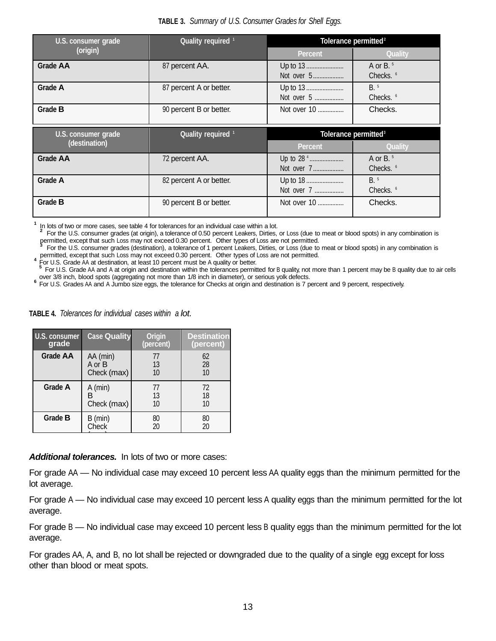|  | TABLE 3. Summary of U.S. Consumer Grades for Shell Eggs. |  |  |  |  |  |
|--|----------------------------------------------------------|--|--|--|--|--|
|--|----------------------------------------------------------|--|--|--|--|--|

| U.S. consumer grade | Quality required <sup>1</sup> | Tolerance permitted <sup>2</sup> |                                              |
|---------------------|-------------------------------|----------------------------------|----------------------------------------------|
| (origin)            |                               | <b>Percent</b>                   | Quality                                      |
| <b>Grade AA</b>     | 87 percent AA.                | Not over 5                       | A or B. $5$<br>Checks. <sup>6</sup>          |
| <b>Grade A</b>      | 87 percent A or better.       | Up to 13<br>Not over 5           | B.5<br>Checks. <sup>6</sup>                  |
| <b>Grade B</b>      | 90 percent B or better.       | Not over 10                      | Checks.                                      |
|                     |                               |                                  |                                              |
| U.S. consumer grade | Quality required <sup>1</sup> |                                  | Tolerance permitted <sup>3</sup>             |
| (destination)       |                               | <b>Percent</b>                   | Quality                                      |
| <b>Grade AA</b>     | 72 percent AA.                | Not over 7                       | A or B. <sup>5</sup><br>Checks. <sup>6</sup> |
| <b>Grade A</b>      | 82 percent A or better.       | Up to 18<br>Not over 7           | B.5<br>Checks. <sup>6</sup>                  |

In lots of two or more cases, see table 4 for tolerances for an individual case within a lot.<br>
<sup>2</sup> For the U.S. consumer grades (at origin), a tolerance of 0.50 percent Leakers, Dirties, or Loss (due to meat or blood spots

For the U.S. consumer grades (destination), a tolerance of 1 percent Leakers, Dirties, or Loss (due to meat or blood spots) in any combination is

For U.S. Grade AA at destination, at least 10 percent. Other types of Loss are not permitted.<br>
For U.S. Grade AA at destination, at least 10 percent must be A quality or better.<br>
For U.S. Grade AA at destination, at least

<sup>6</sup> For U.S. Grades AA and A Jumbo size eggs, the tolerance for Checks at origin and destination is 7 percent and 9 percent, respectively.

**TABLE 4.** *Tolerances for individual cases within a lot.*

| U.S. consumer   | <b>Case Quality</b>      | <b>Origin</b>  | <b>Destination</b> |
|-----------------|--------------------------|----------------|--------------------|
| grade           |                          | (percent)      | (percent)          |
| <b>Grade AA</b> | AA (min)                 | 77             | 62                 |
|                 | A or B                   | 13             | 28                 |
|                 | Check (max)              | 10             | 10                 |
| <b>Grade A</b>  | $A$ (min)<br>Check (max) | 77<br>13<br>10 | 72<br>18<br>10     |
| <b>Grade B</b>  | $B$ (min)                | 80             | 80                 |
|                 | Check                    | 20             | 20                 |

*Additional tolerances.* In lots of two or more cases:

For grade AA — No individual case may exceed 10 percent less AA quality eggs than the minimum permitted for the lot average.

For grade A — No individual case may exceed 10 percent less A quality eggs than the minimum permitted for the lot average.

For grade B — No individual case may exceed 10 percent less B quality eggs than the minimum permitted for the lot average.

For grades AA, A, and B, no lot shall be rejected or downgraded due to the quality of a single egg except for loss other than blood or meat spots.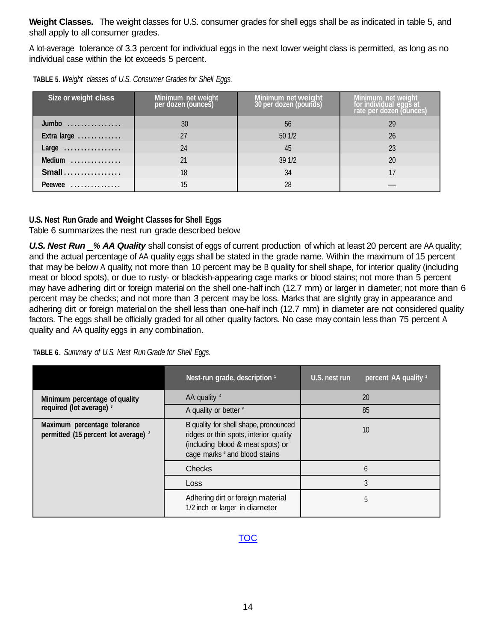**Weight Classes.** The weight classes for U.S. consumer grades for shell eggs shall be as indicated in table 5, and shall apply to all consumer grades.

A lot-average tolerance of 3.3 percent for individual eggs in the next lower weight class is permitted, as long as no individual case within the lot exceeds 5 percent.

| Size or weight class | Minimum net weight<br>per dozen (ounces) | Minimum net weight<br>30 per dozen (pounds) | Minimum net weight<br>for individual eggs at<br>rate per dozen (ounces) |
|----------------------|------------------------------------------|---------------------------------------------|-------------------------------------------------------------------------|
| Jumbo                | 30                                       | 56                                          | 29                                                                      |
| Extra large          | 27                                       | 501/2                                       | 26                                                                      |
| Large                | 24                                       | 45                                          | 23                                                                      |
| Medium               | 21                                       | 391/2                                       | 20                                                                      |
| $Small$              | 18                                       | 34                                          | 17                                                                      |
| Peewee               | 15                                       | 28                                          |                                                                         |

**TABLE 5.** *Weight classes of U.S. Consumer Grades for Shell Eggs.*

#### **U.S. Nest Run Grade and Weight Classes for Shell Eggs**

Table 6 summarizes the nest run grade described below.

*U.S. Nest Run % AA Quality* shall consist of eggs of current production of which at least 20 percent are AA quality; and the actual percentage of AA quality eggs shall be stated in the grade name. Within the maximum of 15 percent that may be below A quality, not more than 10 percent may be B quality for shell shape, for interior quality (including meat or blood spots), or due to rusty- or blackish-appearing cage marks or blood stains; not more than 5 percent may have adhering dirt or foreign material on the shell one-half inch (12.7 mm) or larger in diameter; not more than 6 percent may be checks; and not more than 3 percent may be loss. Marks that are slightly gray in appearance and adhering dirt or foreign material on the shell less than one-half inch (12.7 mm) in diameter are not considered quality factors. The eggs shall be officially graded for all other quality factors. No case may contain less than 75 percent A quality and AA quality eggs in any combination.

**TABLE 6.** *Summary of U.S. Nest Run Grade for Shell Eggs.*

|                                                                                                                                                                                                                               | Nest-run grade, description <sup>1</sup>                            | U.S. nest run<br>percent AA quality <sup>2</sup> |
|-------------------------------------------------------------------------------------------------------------------------------------------------------------------------------------------------------------------------------|---------------------------------------------------------------------|--------------------------------------------------|
| Minimum percentage of quality                                                                                                                                                                                                 | AA quality <sup>4</sup>                                             | 20                                               |
| required (lot average) 3                                                                                                                                                                                                      | A quality or better <sup>5</sup>                                    | 85                                               |
| B quality for shell shape, pronounced<br>Maximum percentage tolerance<br>permitted (15 percent lot average) 3<br>ridges or thin spots, interior quality<br>(including blood & meat spots) or<br>cage marks 6 and blood stains |                                                                     | 10                                               |
|                                                                                                                                                                                                                               | Checks                                                              | 6                                                |
|                                                                                                                                                                                                                               | Loss                                                                | 3                                                |
|                                                                                                                                                                                                                               | Adhering dirt or foreign material<br>1/2 inch or larger in diameter | 5                                                |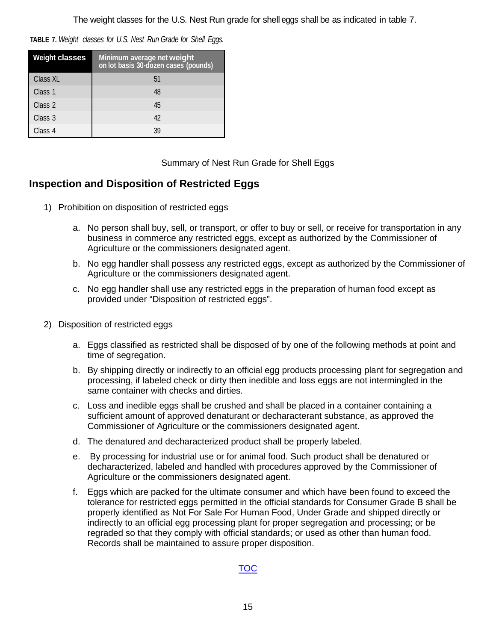The weight classes for the U.S. Nest Run grade for shell eggs shall be as indicated in table 7.

**TABLE 7.** *Weight classes for U.S. Nest Run Grade for Shell Eggs.*

| <b>Weight classes</b> | Minimum average net weight<br>on lot basis 30-dozen cases (pounds) |
|-----------------------|--------------------------------------------------------------------|
| Class XL              | 51                                                                 |
| Class 1               | 48                                                                 |
| Class 2               | 45                                                                 |
| Class 3               | 42                                                                 |
| Class 4               | 39                                                                 |

Summary of Nest Run Grade for Shell Eggs

## <span id="page-14-0"></span>**Inspection and Disposition of Restricted Eggs**

- 1) Prohibition on disposition of restricted eggs
	- a. No person shall buy, sell, or transport, or offer to buy or sell, or receive for transportation in any business in commerce any restricted eggs, except as authorized by the Commissioner of Agriculture or the commissioners designated agent.
	- b. No egg handler shall possess any restricted eggs, except as authorized by the Commissioner of Agriculture or the commissioners designated agent.
	- c. No egg handler shall use any restricted eggs in the preparation of human food except as provided under "Disposition of restricted eggs".
- 2) Disposition of restricted eggs
	- a. Eggs classified as restricted shall be disposed of by one of the following methods at point and time of segregation.
	- b. By shipping directly or indirectly to an official egg products processing plant for segregation and processing, if labeled check or dirty then inedible and loss eggs are not intermingled in the same container with checks and dirties.
	- c. Loss and inedible eggs shall be crushed and shall be placed in a container containing a sufficient amount of approved denaturant or decharacterant substance, as approved the Commissioner of Agriculture or the commissioners designated agent.
	- d. The denatured and decharacterized product shall be properly labeled.
	- e. By processing for industrial use or for animal food. Such product shall be denatured or decharacterized, labeled and handled with procedures approved by the Commissioner of Agriculture or the commissioners designated agent.
	- f. Eggs which are packed for the ultimate consumer and which have been found to exceed the tolerance for restricted eggs permitted in the official standards for Consumer Grade B shall be properly identified as Not For Sale For Human Food, Under Grade and shipped directly or indirectly to an official egg processing plant for proper segregation and processing; or be regraded so that they comply with official standards; or used as other than human food. Records shall be maintained to assure proper disposition.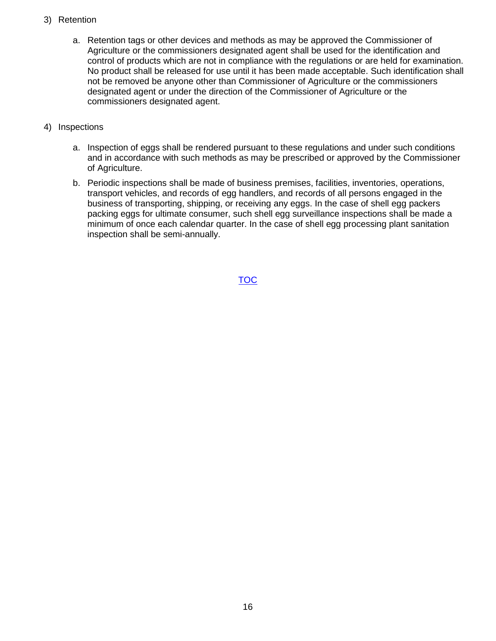#### 3) Retention

a. Retention tags or other devices and methods as may be approved the Commissioner of Agriculture or the commissioners designated agent shall be used for the identification and control of products which are not in compliance with the regulations or are held for examination. No product shall be released for use until it has been made acceptable. Such identification shall not be removed be anyone other than Commissioner of Agriculture or the commissioners designated agent or under the direction of the Commissioner of Agriculture or the commissioners designated agent.

#### 4) Inspections

- a. Inspection of eggs shall be rendered pursuant to these regulations and under such conditions and in accordance with such methods as may be prescribed or approved by the Commissioner of Agriculture.
- b. Periodic inspections shall be made of business premises, facilities, inventories, operations, transport vehicles, and records of egg handlers, and records of all persons engaged in the business of transporting, shipping, or receiving any eggs. In the case of shell egg packers packing eggs for ultimate consumer, such shell egg surveillance inspections shall be made a minimum of once each calendar quarter. In the case of shell egg processing plant sanitation inspection shall be semi-annually.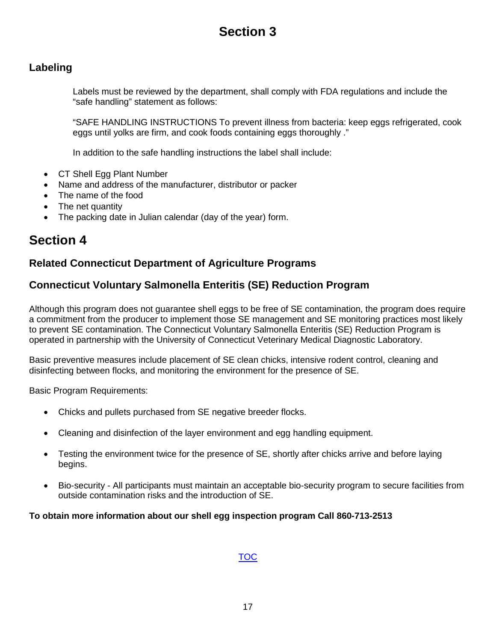## <span id="page-16-1"></span><span id="page-16-0"></span>**Labeling**

Labels must be reviewed by the department, shall comply with FDA regulations and include the "safe handling" statement as follows:

"SAFE HANDLING INSTRUCTIONS To prevent illness from bacteria: keep eggs refrigerated, cook eggs until yolks are firm, and cook foods containing eggs thoroughly ."

In addition to the safe handling instructions the label shall include:

- CT Shell Egg Plant Number
- Name and address of the manufacturer, distributor or packer
- The name of the food
- The net quantity
- The packing date in Julian calendar (day of the year) form.

## <span id="page-16-2"></span>**Section 4**

## <span id="page-16-3"></span>**Related Connecticut Department of Agriculture Programs**

## <span id="page-16-4"></span>**Connecticut Voluntary Salmonella Enteritis (SE) Reduction Program**

Although this program does not guarantee shell eggs to be free of SE contamination, the program does require a commitment from the producer to implement those SE management and SE monitoring practices most likely to prevent SE contamination. The Connecticut Voluntary Salmonella Enteritis (SE) Reduction Program is operated in partnership with the University of Connecticut Veterinary Medical Diagnostic Laboratory.

Basic preventive measures include placement of SE clean chicks, intensive rodent control, cleaning and disinfecting between flocks, and monitoring the environment for the presence of SE.

Basic Program Requirements:

- Chicks and pullets purchased from SE negative breeder flocks.
- Cleaning and disinfection of the layer environment and egg handling equipment.
- Testing the environment twice for the presence of SE, shortly after chicks arrive and before laying begins.
- Bio-security All participants must maintain an acceptable bio-security program to secure facilities from outside contamination risks and the introduction of SE.

**To obtain more information about our shell egg inspection program Call 860-713-2513**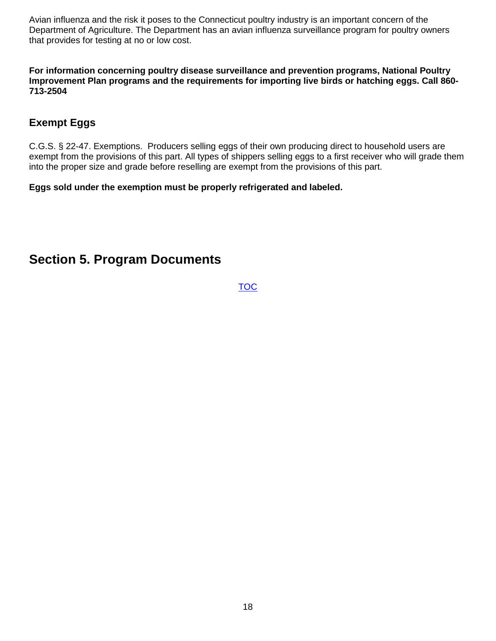Avian influenza and the risk it poses to the Connecticut poultry industry is an important concern of the Department of Agriculture. The Department has an avian influenza surveillance program for poultry owners that provides for testing at no or low cost.

**For information concerning poultry disease surveillance and prevention programs, National Poultry Improvement Plan programs and the requirements for importing live birds or hatching eggs. Call 860- 713-2504**

## <span id="page-17-0"></span>**Exempt Eggs**

C.G.S. § 22-47. Exemptions. Producers selling eggs of their own producing direct to household users are exempt from the provisions of this part. All types of shippers selling eggs to a first receiver who will grade them into the proper size and grade before reselling are exempt from the provisions of this part.

**Eggs sold under the exemption must be properly refrigerated and labeled.**

## <span id="page-17-1"></span>**Section 5. Program Documents**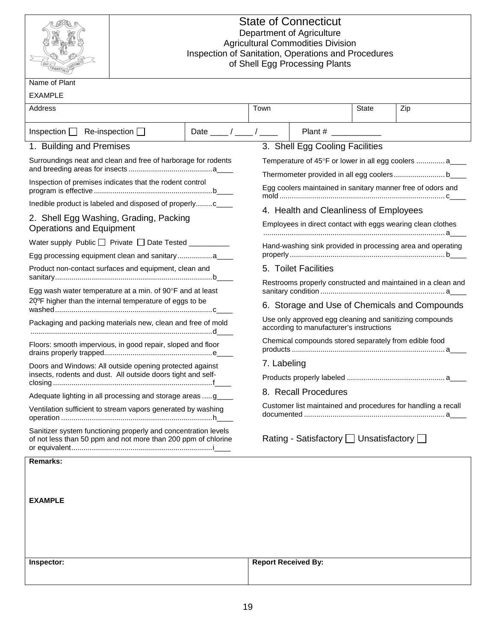

#### State of Connecticut Department of Agriculture Agricultural Commodities Division Inspection of Sanitation, Operations and Procedures of Shell Egg Processing Plants

| Name of Plant                                                                                                                   |  |                                                              |                                                                                                       |              |                                                               |
|---------------------------------------------------------------------------------------------------------------------------------|--|--------------------------------------------------------------|-------------------------------------------------------------------------------------------------------|--------------|---------------------------------------------------------------|
| <b>EXAMPLE</b>                                                                                                                  |  |                                                              |                                                                                                       |              |                                                               |
| Address                                                                                                                         |  | Town                                                         |                                                                                                       | <b>State</b> | Zip                                                           |
| Inspection $\Box$ Re-inspection $\Box$                                                                                          |  |                                                              | Plant # ______________                                                                                |              |                                                               |
| 1. Building and Premises                                                                                                        |  |                                                              | 3. Shell Egg Cooling Facilities                                                                       |              |                                                               |
| Surroundings neat and clean and free of harborage for rodents                                                                   |  |                                                              |                                                                                                       |              | Temperature of 45°F or lower in all egg coolers  a____        |
| Inspection of premises indicates that the rodent control                                                                        |  |                                                              |                                                                                                       |              | Egg coolers maintained in sanitary manner free of odors and   |
| Inedible product is labeled and disposed of properlyc___                                                                        |  |                                                              |                                                                                                       |              |                                                               |
| 2. Shell Egg Washing, Grading, Packing<br><b>Operations and Equipment</b>                                                       |  |                                                              | 4. Health and Cleanliness of Employees<br>Employees in direct contact with eggs wearing clean clothes |              |                                                               |
| Water supply Public □ Private □ Date Tested _________                                                                           |  |                                                              |                                                                                                       |              | Hand-washing sink provided in processing area and operating   |
| Egg processing equipment clean and sanitarya_                                                                                   |  |                                                              |                                                                                                       |              |                                                               |
| Product non-contact surfaces and equipment, clean and                                                                           |  |                                                              | 5. Toilet Facilities                                                                                  |              |                                                               |
| Egg wash water temperature at a min. of $90^{\circ}$ F and at least                                                             |  | Restrooms properly constructed and maintained in a clean and |                                                                                                       |              |                                                               |
| 20°F higher than the internal temperature of eggs to be                                                                         |  |                                                              |                                                                                                       |              | 6. Storage and Use of Chemicals and Compounds                 |
| Packaging and packing materials new, clean and free of mold                                                                     |  |                                                              | Use only approved egg cleaning and sanitizing compounds<br>according to manufacturer's instructions   |              |                                                               |
| Floors: smooth impervious, in good repair, sloped and floor                                                                     |  |                                                              | Chemical compounds stored separately from edible food                                                 |              |                                                               |
| Doors and Windows: All outside opening protected against                                                                        |  | 7. Labeling                                                  |                                                                                                       |              |                                                               |
| insects, rodents and dust. All outside doors tight and self-                                                                    |  |                                                              |                                                                                                       |              |                                                               |
| Adequate lighting in all processing and storage areas g                                                                         |  |                                                              | 8. Recall Procedures                                                                                  |              |                                                               |
| Ventilation sufficient to stream vapors generated by washing                                                                    |  |                                                              |                                                                                                       |              | Customer list maintained and procedures for handling a recall |
| Sanitizer system functioning properly and concentration levels<br>of not less than 50 ppm and not more than 200 ppm of chlorine |  |                                                              | Rating - Satisfactory   Unsatisfactory                                                                |              |                                                               |
| <b>Remarks:</b>                                                                                                                 |  |                                                              |                                                                                                       |              |                                                               |

| <b>EXAMPLE</b> |                            |
|----------------|----------------------------|
|                |                            |
|                |                            |
| Inspector:     | <b>Report Received By:</b> |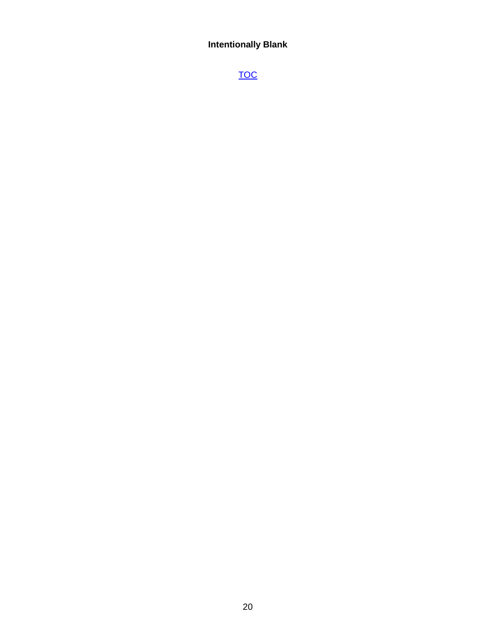## **Intentionally Blank**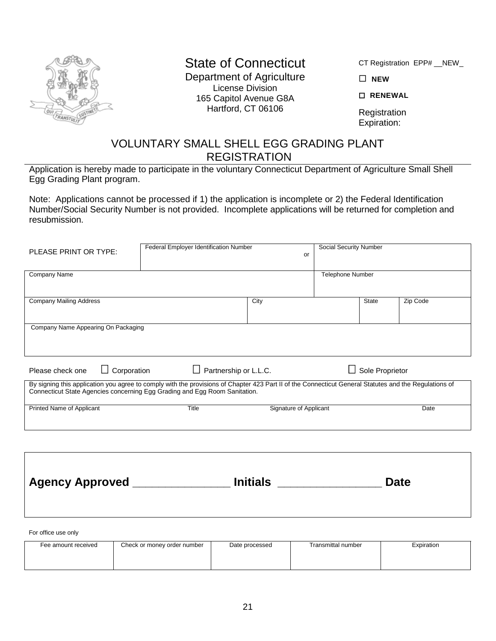

# State of Connecticut

Department of Agriculture License Division 165 Capitol Avenue G8A Hartford, CT 06106

CT Registration EPP# \_\_NEW\_

**NEW** 

 **RENEWAL** 

**Registration** Expiration:

## VOLUNTARY SMALL SHELL EGG GRADING PLANT REGISTRATION

Application is hereby made to participate in the voluntary Connecticut Department of Agriculture Small Shell Egg Grading Plant program.

Note: Applications cannot be processed if 1) the application is incomplete or 2) the Federal Identification Number/Social Security Number is not provided. Incomplete applications will be returned for completion and resubmission.

| PLEASE PRINT OR TYPE:                                                                                                                                                                                                               | Federal Employer Identification Number<br>or |                        | Social Security Number  |              |          |
|-------------------------------------------------------------------------------------------------------------------------------------------------------------------------------------------------------------------------------------|----------------------------------------------|------------------------|-------------------------|--------------|----------|
| Company Name                                                                                                                                                                                                                        |                                              |                        | <b>Telephone Number</b> |              |          |
|                                                                                                                                                                                                                                     |                                              |                        |                         |              |          |
| <b>Company Mailing Address</b>                                                                                                                                                                                                      |                                              | City                   |                         | <b>State</b> | Zip Code |
|                                                                                                                                                                                                                                     |                                              |                        |                         |              |          |
| Company Name Appearing On Packaging                                                                                                                                                                                                 |                                              |                        |                         |              |          |
|                                                                                                                                                                                                                                     |                                              |                        |                         |              |          |
| Corporation<br>$\Box$ Partnership or L.L.C.<br>$\Box$ Sole Proprietor<br>⊔<br>Please check one                                                                                                                                      |                                              |                        |                         |              |          |
| By signing this application you agree to comply with the provisions of Chapter 423 Part II of the Connecticut General Statutes and the Regulations of<br>Connecticut State Agencies concerning Egg Grading and Egg Room Sanitation. |                                              |                        |                         |              |          |
| Printed Name of Applicant                                                                                                                                                                                                           | Title                                        | Signature of Applicant |                         |              | Date     |
|                                                                                                                                                                                                                                     |                                              |                        |                         |              |          |
|                                                                                                                                                                                                                                     |                                              |                        |                         |              |          |
|                                                                                                                                                                                                                                     |                                              |                        |                         |              |          |
|                                                                                                                                                                                                                                     |                                              |                        |                         |              |          |

| <b>Agency Approved</b> | <b>Initials</b> | <b>Date</b> |
|------------------------|-----------------|-------------|
|                        |                 |             |

For office use only

| Fee amount received | Check or money order number | Date processed | Transmittal number | Expiration |
|---------------------|-----------------------------|----------------|--------------------|------------|
|                     |                             |                |                    |            |
|                     |                             |                |                    |            |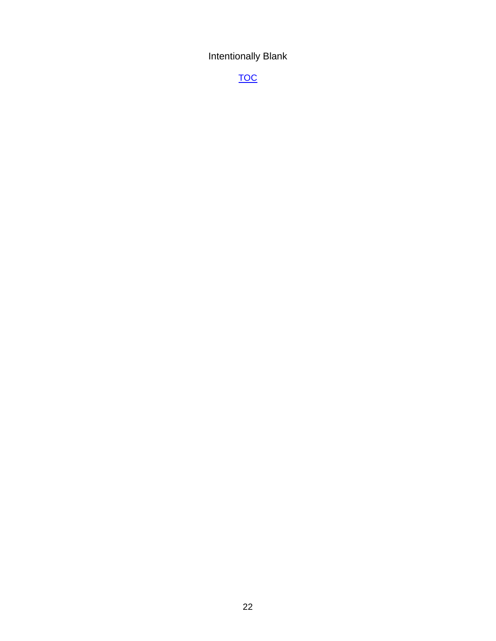Intentionally Blank